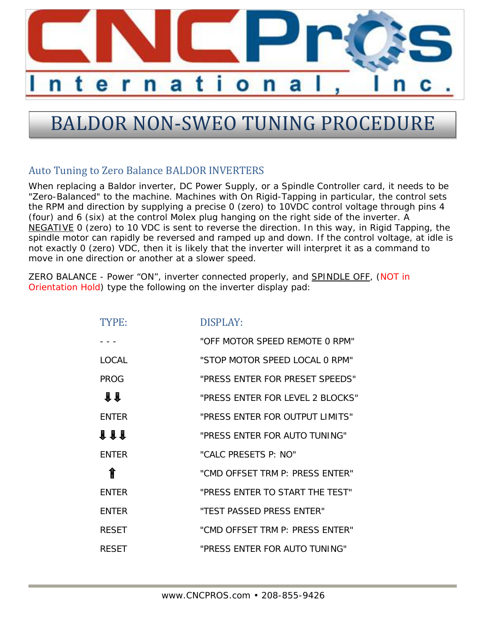

## BALDOR NON-SWEO TUNING PROCEDURE

## Auto Tuning to Zero Balance BALDOR INVERTERS

When replacing a Baldor inverter, DC Power Supply, or a Spindle Controller card, it needs to be "Zero-Balanced" to the machine. Machines with On Rigid-Tapping in particular, the control sets the RPM and direction by supplying a precise 0 (zero) to 10VDC control voltage through pins 4 (four) and 6 (six) at the control Molex plug hanging on the right side of the inverter. A NEGATIVE 0 (zero) to 10 VDC is sent to reverse the direction. In this way, in Rigid Tapping, the spindle motor can rapidly be reversed and ramped up and down. If the control voltage, at idle is not exactly 0 (zero) VDC, then it is likely that the inverter will interpret it as a command to move in one direction or another at a slower speed.

ZERO BALANCE - Power "ON", inverter connected properly, and SPINDLE OFF, (NOT in Orientation Hold) type the following on the inverter display pad:

| TYPE:        | DISPLAY:                         |
|--------------|----------------------------------|
|              | "OFF MOTOR SPEED REMOTE 0 RPM"   |
| <b>LOCAL</b> | "STOP MOTOR SPEED LOCAL 0 RPM"   |
| PROG         | "PRESS ENTER FOR PRESET SPEEDS"  |
| $\mathbf{H}$ | "PRESS ENTER FOR LEVEL 2 BLOCKS" |
| <b>ENTER</b> | "PRESS ENTER FOR OUTPUT LIMITS"  |
| <b>111</b>   | "PRESS ENTER FOR AUTO TUNING"    |
| <b>FNTFR</b> | "CALC PRESETS P: NO"             |
| ⇑            | "CMD OFFSET TRM P: PRESS ENTER"  |
| <b>ENTER</b> | "PRESS ENTER TO START THE TEST"  |
| <b>ENTER</b> | "TEST PASSED PRESS ENTER"        |
| <b>RESET</b> | "CMD OFFSET TRM P: PRESS ENTER"  |
| <b>RESET</b> | "PRESS ENTER FOR AUTO TUNING"    |